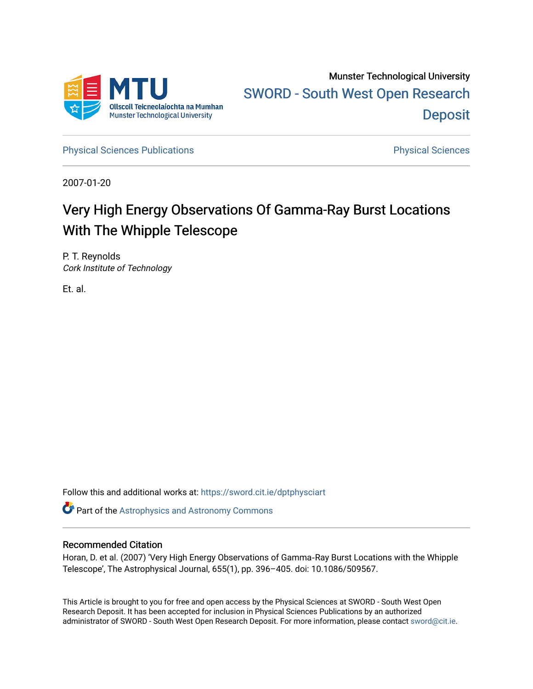

Munster Technological University [SWORD - South West Open Research](https://sword.cit.ie/)  **Deposit** 

[Physical Sciences Publications](https://sword.cit.ie/dptphysciart) **Physical Sciences** Physical Sciences

2007-01-20

# Very High Energy Observations Of Gamma-Ray Burst Locations With The Whipple Telescope

P. T. Reynolds Cork Institute of Technology

Et. al.

Follow this and additional works at: [https://sword.cit.ie/dptphysciart](https://sword.cit.ie/dptphysciart?utm_source=sword.cit.ie%2Fdptphysciart%2F70&utm_medium=PDF&utm_campaign=PDFCoverPages)

Part of the [Astrophysics and Astronomy Commons](http://network.bepress.com/hgg/discipline/123?utm_source=sword.cit.ie%2Fdptphysciart%2F70&utm_medium=PDF&utm_campaign=PDFCoverPages) 

## Recommended Citation

Horan, D. et al. (2007) 'Very High Energy Observations of Gamma‐Ray Burst Locations with the Whipple Telescope', The Astrophysical Journal, 655(1), pp. 396–405. doi: 10.1086/509567.

This Article is brought to you for free and open access by the Physical Sciences at SWORD - South West Open Research Deposit. It has been accepted for inclusion in Physical Sciences Publications by an authorized administrator of SWORD - South West Open Research Deposit. For more information, please contact [sword@cit.ie.](mailto:sword@cit.ie)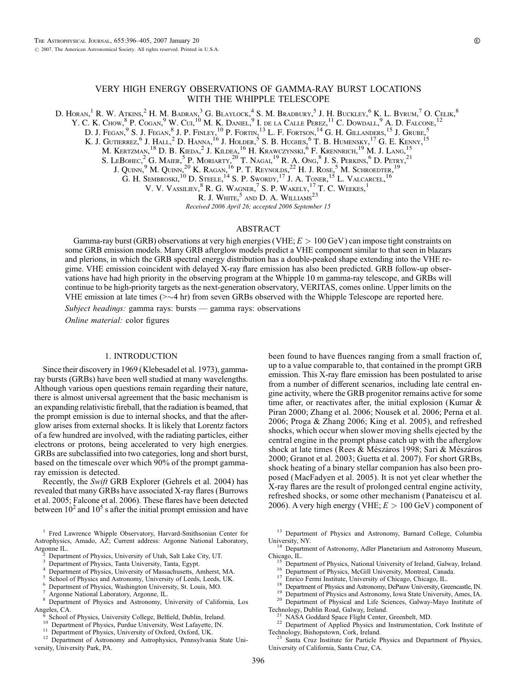## VERY HIGH ENERGY OBSERVATIONS OF GAMMA-RAY BURST LOCATIONS WITH THE WHIPPLE TELESCOPE

D. Horan, $^1$  R. W. Atkins, $^2$  H. M. Badran, $^3$  G. Blaylock, $^4$  S. M. Bradbury, $^5$  J. H. Buckley, $^6$  K. L. Byrum, $^7$  O. Celik, $^8$ 

Y. C. K. Chow,  $8$  P. Cogan,  $9$  W. Cui,  $^{10}$  M. K. Daniel,  $9$  I. de la Calle Perez,  $^{11}$  C. Dowdall,  $9$  A. D. Falcone,  $^{12}$ 

D. J. Fegan,  $9$  S. J. Fegan,  $8$  J. P. Finley,  $^{10}$  P. Fortin,  $^{13}$  L. F. Fortson,  $^{14}$  G. H. Gillanders,  $^{15}$  J. Grube,  $^{5}$ 

K. J. Gutierrez, <sup>6</sup> J. Hall, <sup>2</sup> D. Hanna, <sup>16</sup> J. Holder, <sup>5</sup> S. B. Hughes, <sup>6</sup> T. B. Humensky, <sup>17</sup> G. E. Kenny, <sup>15</sup>

M. Kertzman, <sup>18</sup> D. B. Kieda, <sup>2</sup> J. Kildea, <sup>16</sup> H. Krawczynski, <sup>6</sup> F. Krennrich, <sup>19</sup> M. J. Lang, <sup>15</sup>

S. LEBOHEC,<sup>2</sup> G. MAIER,<sup>5</sup> P. MORIARTY,<sup>20</sup> T. Nagal<sup>19</sup> R. A. Ong,<sup>8</sup> J. S. Perkins,<sup>6</sup> D. Petry,<sup>21</sup>

J. Quinn,  $9$  M. Quinn,  $20$  K. Ragan,  $^{16}$  P. T. Reynolds,  $^{22}$  H. J. Rose,  $^5$  M. Schroedter,  $^{19}$ 

G. H. SEMBROSKI,  $^{10}$  D. Steele,  $^{14}$  S. P. Swordy,  $^{17}$  J. A. Toner,  $^{15}$  L. Valcarcel,  $^{16}$ 

V. V. VASSILIEV, <sup>8</sup> R. G. WAGNER, <sup>7</sup> S. P. WAKELY, <sup>17</sup> T. C. WEEKES, <sup>1</sup>

R. J. White,  $5$  and D. A. Williams<sup>23</sup>

Received 2006 April 26; accepted 2006 September 15

#### ABSTRACT

Gamma-ray burst (GRB) observations at very high energies (VHE;  $E > 100$  GeV) can impose tight constraints on some GRB emission models. Many GRB afterglow models predict a VHE component similar to that seen in blazars and plerions, in which the GRB spectral energy distribution has a double-peaked shape extending into the VHE regime. VHE emission coincident with delayed X-ray flare emission has also been predicted. GRB follow-up observations have had high priority in the observing program at the Whipple 10 m gamma-ray telescope, and GRBs will continue to be high-priority targets as the next-generation observatory, VERITAS, comes online. Upper limits on the VHE emission at late times ( $>\sim$ 4 hr) from seven GRBs observed with the Whipple Telescope are reported here.

Subject headings: gamma rays: bursts — gamma rays: observations

Online material: color figures

#### 1. INTRODUCTION

Since their discovery in 1969 (Klebesadel et al. 1973), gammaray bursts (GRBs) have been well studied at many wavelengths. Although various open questions remain regarding their nature, there is almost universal agreement that the basic mechanism is an expanding relativistic fireball, that the radiation is beamed, that the prompt emission is due to internal shocks, and that the afterglow arises from external shocks. It is likely that Lorentz factors of a few hundred are involved, with the radiating particles, either electrons or protons, being accelerated to very high energies. GRBs are subclassified into two categories, long and short burst, based on the timescale over which 90% of the prompt gammaray emission is detected.

Recently, the Swift GRB Explorer (Gehrels et al. 2004) has revealed that many GRBs have associated X-ray flares (Burrows et al. 2005; Falcone et al. 2006). These flares have been detected between  $10^2$  and  $10^5$  s after the initial prompt emission and have

<sup>1</sup> Fred Lawrence Whipple Observatory, Harvard-Smithsonian Center for Astrophysics, Amado, AZ; Current address: Argonne National Laboratory,

- 
- 
- 
- 
- 
- 

Angeles, CA.<br><sup>9</sup> School of Physics, University College, Belfield, Dublin, Ireland.

<sup>10</sup> Department of Physics, Purdue University, West Lafayette, IN.<br><sup>11</sup> Department of Physics, University of Oxford, Oxford, UK.<br><sup>12</sup> Department of Astronomy and Astrophysics, Pennsylvania State University, University Park, PA.

been found to have fluences ranging from a small fraction of, up to a value comparable to, that contained in the prompt GRB emission. This X-ray flare emission has been postulated to arise from a number of different scenarios, including late central engine activity, where the GRB progenitor remains active for some time after, or reactivates after, the initial explosion (Kumar & Piran 2000; Zhang et al. 2006; Nousek et al. 2006; Perna et al. 2006; Proga & Zhang 2006; King et al. 2005), and refreshed shocks, which occur when slower moving shells ejected by the central engine in the prompt phase catch up with the afterglow shock at late times (Rees & Mészáros 1998; Sari & Mészáros 2000; Granot et al. 2003; Guetta et al. 2007). For short GRBs, shock heating of a binary stellar companion has also been proposed (MacFadyen et al. 2005). It is not yet clear whether the X-ray flares are the result of prolonged central engine activity, refreshed shocks, or some other mechanism (Panateiscu et al. 2006). A very high energy (VHE;  $E > 100$  GeV) component of

University, NY.<br><sup>14</sup> Department of Astronomy, Adler Planetarium and Astronomy Museum, Chicago, IL.

- <sup>15</sup> Department of Physics, National University of Ireland, Galway, Ireland.<br><sup>16</sup> Department of Physics, McGill University, Montreal, Canada.<br><sup>17</sup> Enrico Fermi Institute, University of Chicago, Chicago, IL.<br><sup>18</sup> Departmen
- 
- 
- 
- 
- 
- 
- 

Technology, Dublin Road, Galway, Ireland.<br><sup>21</sup> NASA Goddard Space Flight Center, Greenbelt, MD.<br><sup>22</sup> Department of Applied Physics and Instrumentation, Cork Institute of Technology, Bishopstown, Cork, Ireland. <sup>23</sup> Santa Cruz Institute for Particle Physics and Department of Physics,

University of California, Santa Cruz, CA.

Department of Physics, University of Utah, Salt Lake City, UT.<br>Department of Physics, Tanta University, Tanta, Egypt.<br>Department of Physics, University of Massachusetts, Amherst, MA.<br>School of Physics and Astronomy, Univer

<sup>13</sup> Department of Physics and Astronomy, Barnard College, Columbia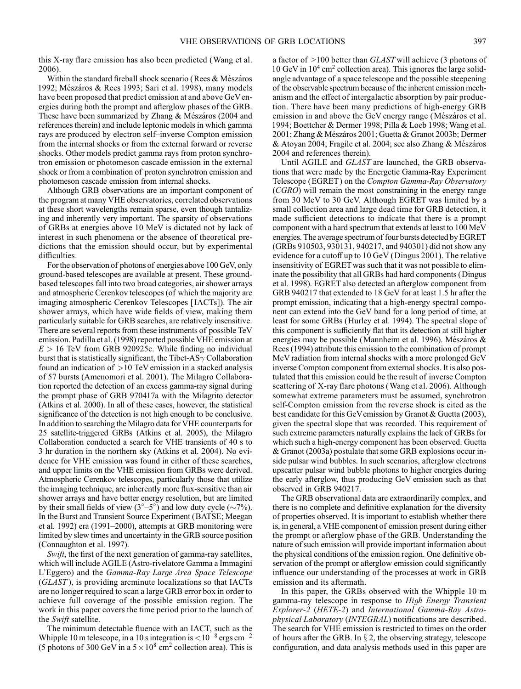this X-ray flare emission has also been predicted (Wang et al. 2006).

Within the standard fireball shock scenario (Rees & Mészáros 1992; Mészáros & Rees 1993; Sari et al. 1998), many models have been proposed that predict emission at and above GeVenergies during both the prompt and afterglow phases of the GRB. These have been summarized by Zhang & Mészáros (2004 and references therein) and include leptonic models in which gamma rays are produced by electron self-inverse Compton emission from the internal shocks or from the external forward or reverse shocks. Other models predict gamma rays from proton synchrotron emission or photomeson cascade emission in the external shock or from a combination of proton synchrotron emission and photomeson cascade emission from internal shocks.

Although GRB observations are an important component of the program at many VHE observatories, correlated observations at these short wavelengths remain sparse, even though tantalizing and inherently very important. The sparsity of observations of GRBs at energies above 10 MeV is dictated not by lack of interest in such phenomena or the absence of theoretical predictions that the emission should occur, but by experimental difficulties.

For the observation of photons of energies above 100 GeV, only ground-based telescopes are available at present. These groundbased telescopes fall into two broad categories, air shower arrays and atmospheric Cerenkov telescopes (of which the majority are imaging atmospheric Cerenkov Telescopes [ IACTs]). The air shower arrays, which have wide fields of view, making them particularly suitable for GRB searches, are relatively insensitive. There are several reports from these instruments of possible TeV emission. Padilla et al. (1998) reported possible VHE emission at  $E > 16$  TeV from GRB 920925c. While finding no individual burst that is statistically significant, the Tibet-AS $\gamma$  Collaboration found an indication of  $>10$  TeV emission in a stacked analysis of 57 bursts (Amenomori et al. 2001). The Milagro Collaboration reported the detection of an excess gamma-ray signal during the prompt phase of GRB 970417a with the Milagrito detector (Atkins et al. 2000). In all of these cases, however, the statistical significance of the detection is not high enough to be conclusive. In addition to searching the Milagro data for VHE counterparts for 25 satellite-triggered GRBs (Atkins et al. 2005), the Milagro Collaboration conducted a search for VHE transients of 40 s to 3 hr duration in the northern sky (Atkins et al. 2004). No evidence for VHE emission was found in either of these searches, and upper limits on the VHE emission from GRBs were derived. Atmospheric Cerenkov telescopes, particularly those that utilize the imaging technique, are inherently more flux-sensitive than air shower arrays and have better energy resolution, but are limited by their small fields of view  $(3^{\circ}-5^{\circ})$  and low duty cycle ( $\sim$ 7%). In the Burst and Transient Source Experiment (BATSE; Meegan et al. 1992) era (1991–2000), attempts at GRB monitoring were limited by slew times and uncertainty in the GRB source position (Connaughton et al. 1997).

Swift, the first of the next generation of gamma-ray satellites, which will include AGILE (Astro-rivelatore Gamma a Immagini L'Eggero) and the Gamma-Ray Large Area Space Telescope (GLAST ), is providing arcminute localizations so that IACTs are no longer required to scan a large GRB error box in order to achieve full coverage of the possible emission region. The work in this paper covers the time period prior to the launch of the Swift satellite.

The minimum detectable fluence with an IACT, such as the Whipple 10 m telescope, in a 10 s integration is  $\langle 10^{-8}$  ergs cm<sup>-2</sup> (5 photons of 300 GeV in a  $5 \times 10^8$  cm<sup>2</sup> collection area). This is a factor of >100 better than GLAST will achieve (3 photons of 10 GeV in  $10^4$  cm<sup>2</sup> collection area). This ignores the large solidangle advantage of a space telescope and the possible steepening of the observable spectrum because of the inherent emission mechanism and the effect of intergalactic absorption by pair production. There have been many predictions of high-energy GRB emission in and above the GeV energy range (Mészáros et al. 1994; Boettcher & Dermer 1998; Pilla & Loeb 1998; Wang et al. 2001; Zhang & Mészáros 2001; Guetta & Granot 2003b; Dermer & Atoyan 2004; Fragile et al. 2004; see also Zhang & Mészáros 2004 and references therein).

Until AGILE and GLAST are launched, the GRB observations that were made by the Energetic Gamma-Ray Experiment Telescope (EGRET ) on the Compton Gamma-Ray Observatory (CGRO) will remain the most constraining in the energy range from 30 MeV to 30 GeV. Although EGRET was limited by a small collection area and large dead time for GRB detection, it made sufficient detections to indicate that there is a prompt component with a hard spectrum that extends at least to 100 MeV energies. The average spectrum of four bursts detected by EGRET (GRBs 910503, 930131, 940217, and 940301) did not show any evidence for a cutoff up to 10 GeV (Dingus 2001). The relative insensitivity of EGRET was such that it was not possible to eliminate the possibility that all GRBs had hard components (Dingus et al. 1998). EGRET also detected an afterglow component from GRB 940217 that extended to 18 GeV for at least 1.5 hr after the prompt emission, indicating that a high-energy spectral component can extend into the GeV band for a long period of time, at least for some GRBs (Hurley et al. 1994). The spectral slope of this component is sufficiently flat that its detection at still higher energies may be possible (Mannheim et al. 1996). Mészáros & Rees (1994) attribute this emission to the combination of prompt MeV radiation from internal shocks with a more prolonged GeV inverse Compton component from external shocks. It is also postulated that this emission could be the result of inverse Compton scattering of X-ray flare photons (Wang et al. 2006). Although somewhat extreme parameters must be assumed, synchrotron self-Compton emission from the reverse shock is cited as the best candidate for this GeVemission by Granot & Guetta (2003), given the spectral slope that was recorded. This requirement of such extreme parameters naturally explains the lack of GRBs for which such a high-energy component has been observed. Guetta & Granot (2003a) postulate that some GRB explosions occur inside pulsar wind bubbles. In such scenarios, afterglow electrons upscatter pulsar wind bubble photons to higher energies during the early afterglow, thus producing GeV emission such as that observed in GRB 940217.

The GRB observational data are extraordinarily complex, and there is no complete and definitive explanation for the diversity of properties observed. It is important to establish whether there is, in general, a VHE component of emission present during either the prompt or afterglow phase of the GRB. Understanding the nature of such emission will provide important information about the physical conditions of the emission region. One definitive observation of the prompt or afterglow emission could significantly influence our understanding of the processes at work in GRB emission and its aftermath.

In this paper, the GRBs observed with the Whipple 10 m gamma-ray telescope in response to High Energy Transient Explorer-2 (HETE-2) and International Gamma-Ray Astrophysical Laboratory (INTEGRAL) notifications are described. The search for VHE emission is restricted to times on the order of hours after the GRB. In  $\S 2$ , the observing strategy, telescope configuration, and data analysis methods used in this paper are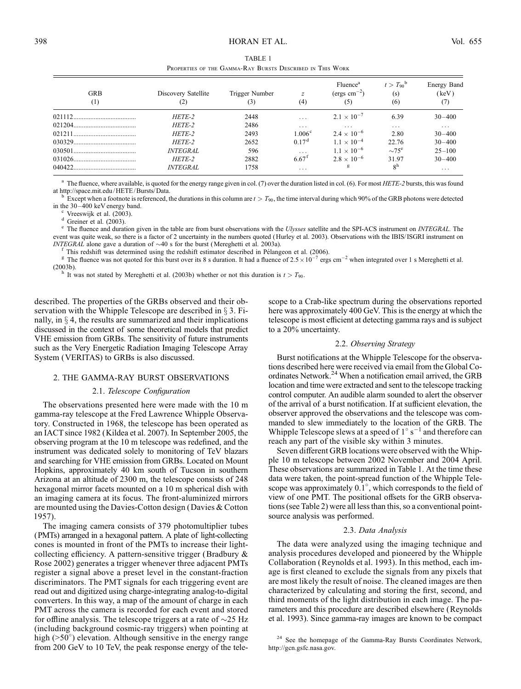| TABLE 1 |  |                                                           |  |  |  |  |  |
|---------|--|-----------------------------------------------------------|--|--|--|--|--|
|         |  | Properties of the Gamma-Ray Bursts Described in This Work |  |  |  |  |  |

| <b>GRB</b><br>(1) | Discovery Satellite    | Trigger Number<br>(3) | $\mathcal{Z}$<br>(4)    | Fluence <sup>a</sup><br>(ergs $\text{cm}^{-2}$ )<br>(5) | $t > T_{90}$ <sup>b</sup><br>(s)<br>(6) | <b>Energy Band</b><br>(keV)<br>(7) |
|-------------------|------------------------|-----------------------|-------------------------|---------------------------------------------------------|-----------------------------------------|------------------------------------|
|                   | HETE-2                 | 2448                  | $\cdots$                | $2.1 \times 10^{-7}$                                    | 6.39                                    | $30 - 400$                         |
|                   | HETE-2                 | 2486                  | $\cdot$                 | $\cdot$                                                 | $\cdots$                                | $\cdots$                           |
|                   | HETE-2                 | 2493                  | 1.006 <sup>c</sup>      | $2.4 \times 10^{-6}$                                    | 2.80                                    | $30 - 400$                         |
|                   | HETE-2                 | 2652                  | 0.17 <sup>d</sup>       | $1.1 \times 10^{-4}$                                    | 22.76                                   | $30 - 400$                         |
|                   | <i><b>INTEGRAL</b></i> | 596                   | $\cdot$ $\cdot$ $\cdot$ | $1.1 \times 10^{-6}$                                    | $\sim 75^e$                             | $25 - 100$                         |
|                   | HETE-2                 | 2882                  | $6.67$ <sup>f</sup>     | $2.8 \times 10^{-6}$                                    | 3197                                    | $30 - 400$                         |
| 040422            | <i><b>INTEGRAL</b></i> | 1758                  | $\cdot$ $\cdot$ $\cdot$ | g                                                       | 8 <sup>h</sup>                          | $\cdots$                           |

<sup>a</sup> The fluence, where available, is quoted for the energy range given in col. (7) over the duration listed in col. (6). For most *HETE-2* bursts, this was found at http://space.mit.edu/HETE/Bursts/Data.

<sup>b</sup> Except when a footnote is referenced, the durations in this column are  $t > T_{90}$ , the time interval during which 90% of the GRB photons were detected in the 30–400 keV energy band.

<sup>c</sup> Vreeswijk et al. (2003).<br>
<sup>d</sup> Greiner et al. (2003).<br>
<sup>e</sup> The fluence and duration given in the table are from burst observations with the *Ulysses* satellite and the SPI-ACS instrument on *INTEGRAL*. The event was quite weak, so there is a factor of 2 uncertainty in the numbers quoted (Hurley et al. 2003). Observations with the IBIS/ ISGRI instrument on

INTEGRAL alone gave a duration of  $\sim$ 40 s for the burst (Mereghetti et al. 2003a).<br>
<sup>f</sup> This redshift was determined using the redshift estimator described in Pélangeon et al. (2006).<br>
<sup>g</sup> The fluence was not quoted for

<sup>h</sup> It was not stated by Mereghetti et al. (2003b) whether or not this duration is  $t > T_{90}$ .

described. The properties of the GRBs observed and their observation with the Whipple Telescope are described in  $\S 3$ . Finally, in  $\S 4$ , the results are summarized and their implications discussed in the context of some theoretical models that predict VHE emission from GRBs. The sensitivity of future instruments such as the Very Energetic Radiation Imaging Telescope Array System (VERITAS) to GRBs is also discussed.

#### 2. THE GAMMA-RAY BURST OBSERVATIONS

#### 2.1. Telescope Configuration

The observations presented here were made with the 10 m gamma-ray telescope at the Fred Lawrence Whipple Observatory. Constructed in 1968, the telescope has been operated as an IACT since 1982 (Kildea et al. 2007). In September 2005, the observing program at the 10 m telescope was redefined, and the instrument was dedicated solely to monitoring of TeV blazars and searching for VHE emission from GRBs. Located on Mount Hopkins, approximately 40 km south of Tucson in southern Arizona at an altitude of 2300 m, the telescope consists of 248 hexagonal mirror facets mounted on a 10 m spherical dish with an imaging camera at its focus. The front-aluminized mirrors are mounted using the Davies-Cotton design (Davies & Cotton 1957).

The imaging camera consists of 379 photomultiplier tubes (PMTs) arranged in a hexagonal pattern. A plate of light-collecting cones is mounted in front of the PMTs to increase their lightcollecting efficiency. A pattern-sensitive trigger (Bradbury & Rose 2002) generates a trigger whenever three adjacent PMTs register a signal above a preset level in the constant-fraction discriminators. The PMT signals for each triggering event are read out and digitized using charge-integrating analog-to-digital converters. In this way, a map of the amount of charge in each PMT across the camera is recorded for each event and stored for offline analysis. The telescope triggers at a rate of  $\sim$ 25 Hz (including background cosmic-ray triggers) when pointing at high ( $>50^\circ$ ) elevation. Although sensitive in the energy range from 200 GeV to 10 TeV, the peak response energy of the telescope to a Crab-like spectrum during the observations reported here was approximately 400 GeV. This is the energy at which the telescope is most efficient at detecting gamma rays and is subject to a 20% uncertainty.

#### 2.2. Observing Strategy

Burst notifications at the Whipple Telescope for the observations described here were received via email from the Global Coordinates Network.<sup>24</sup> When a notification email arrived, the GRB location and time were extracted and sent to the telescope tracking control computer. An audible alarm sounded to alert the observer of the arrival of a burst notification. If at sufficient elevation, the observer approved the observations and the telescope was commanded to slew immediately to the location of the GRB. The Whipple Telescope slews at a speed of  $1^{\circ}$  s<sup>-1</sup> and therefore can reach any part of the visible sky within 3 minutes.

Seven different GRB locations were observed with the Whipple 10 m telescope between 2002 November and 2004 April. These observations are summarized in Table 1. At the time these data were taken, the point-spread function of the Whipple Telescope was approximately  $0.\overline{1^{\circ}}$ , which corresponds to the field of view of one PMT. The positional offsets for the GRB observations (see Table 2) were all less than this, so a conventional pointsource analysis was performed.

#### 2.3. Data Analysis

The data were analyzed using the imaging technique and analysis procedures developed and pioneered by the Whipple Collaboration (Reynolds et al. 1993). In this method, each image is first cleaned to exclude the signals from any pixels that are most likely the result of noise. The cleaned images are then characterized by calculating and storing the first, second, and third moments of the light distribution in each image. The parameters and this procedure are described elsewhere (Reynolds et al. 1993). Since gamma-ray images are known to be compact

<sup>24</sup> See the homepage of the Gamma-Ray Bursts Coordinates Network, http://gcn.gsfc.nasa.gov.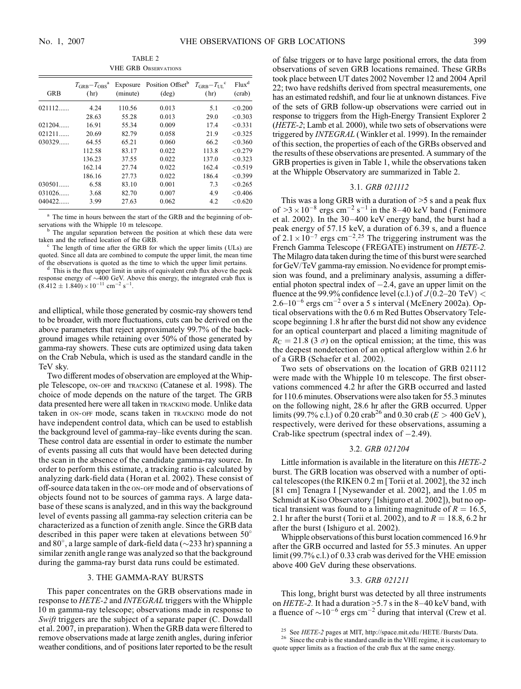TABLE 2 VHE GRB Observations

| <b>GRB</b> | $T_{\rm GRB} - T_{\rm ORS}^{\rm a}$<br>(hr) | Exposure<br>(minute) | Position Offset <sup>b</sup><br>$(\text{deg})$ | $T_{\rm GRB} - T_{\rm UL}$ <sup>c</sup><br>(hr) | Flux <sup>d</sup><br>(crab) |
|------------|---------------------------------------------|----------------------|------------------------------------------------|-------------------------------------------------|-----------------------------|
| 021112     | 4.24                                        | 110.56               | 0.013                                          | 5.1                                             | < 0.200                     |
|            | 28.63                                       | 55.28                | 0.013                                          | 29.0                                            | < 0.303                     |
| 021204     | 16.91                                       | 55.34                | 0.009                                          | 17.4                                            | < 0.331                     |
| 021211     | 20.69                                       | 82.79                | 0.058                                          | 21.9                                            | < 0.325                     |
| 030329     | 64.55                                       | 65.21                | 0.060                                          | 66.2                                            | < 0.360                     |
|            | 112.58                                      | 83.17                | 0.022                                          | 113.8                                           | < 0.279                     |
|            | 136.23                                      | 37.55                | 0.022                                          | 137.0                                           | < 0.323                     |
|            | 162.14                                      | 27.74                | 0.022                                          | 162.4                                           | < 0.519                     |
|            | 186.16                                      | 27.73                | 0.022                                          | 186.4                                           | < 0.399                     |
| 030501     | 6.58                                        | 83.10                | 0.001                                          | 7.3                                             | < 0.265                     |
| 031026     | 3.68                                        | 82.70                | 0.007                                          | 4.9                                             | < 0.406                     |
| 040422.    | 3.99                                        | 27.63                | 0.062                                          | 4.2                                             | < 0.620                     |

<sup>a</sup> The time in hours between the start of the GRB and the beginning of observations with the Whipple 10 m telescope.<br> $\frac{b}{c}$  The angular separation between the position at which these data were

taken and the refined location of the GRB.<br> $\degree$  The length of time after the GRB for which the upper limits (ULs) are

quoted. Since all data are combined to compute the upper limit, the mean time of the observations is quoted as the time to which the upper limit pertains.  $d$  This is the flux upper limit in units of equivalent crab flux above the peak

response energy of  $\sim$ 400 GeV. Above this energy, the integrated crab flux is  $(8.412 \pm 1.840) \times 10^{-11}$  cm<sup>-2</sup> s<sup>-1</sup>.

and elliptical, while those generated by cosmic-ray showers tend to be broader, with more fluctuations, cuts can be derived on the above parameters that reject approximately 99.7% of the background images while retaining over 50% of those generated by gamma-ray showers. These cuts are optimized using data taken on the Crab Nebula, which is used as the standard candle in the TeV sky.

Two different modes of observation are employed at the Whipple Telescope, on-off and tracking (Catanese et al. 1998). The choice of mode depends on the nature of the target. The GRB data presented here were all taken in tracking mode. Unlike data taken in on-off mode, scans taken in tracking mode do not have independent control data, which can be used to establish the background level of gamma-ray-like events during the scan. These control data are essential in order to estimate the number of events passing all cuts that would have been detected during the scan in the absence of the candidate gamma-ray source. In order to perform this estimate, a tracking ratio is calculated by analyzing dark-field data (Horan et al. 2002). These consist of off-source data taken in the on-off mode and of observations of objects found not to be sources of gamma rays. A large database of these scans is analyzed, and in this way the background level of events passing all gamma-ray selection criteria can be characterized as a function of zenith angle. Since the GRB data described in this paper were taken at elevations between  $50^{\circ}$ and 80°, a large sample of dark-field data ( $\sim$ 233 hr) spanning a similar zenith angle range was analyzed so that the background during the gamma-ray burst data runs could be estimated.

#### 3. THE GAMMA-RAY BURSTS

This paper concentrates on the GRB observations made in response to HETE-2 and INTEGRAL triggers with the Whipple 10 m gamma-ray telescope; observations made in response to Swift triggers are the subject of a separate paper (C. Dowdall et al. 2007, in preparation). When the GRB data were filtered to remove observations made at large zenith angles, during inferior weather conditions, and of positions later reported to be the result of false triggers or to have large positional errors, the data from observations of seven GRB locations remained. These GRBs took place between UT dates 2002 November 12 and 2004 April 22; two have redshifts derived from spectral measurements, one has an estimated redshift, and four lie at unknown distances. Five of the sets of GRB follow-up observations were carried out in response to triggers from the High-Energy Transient Explorer 2 (HETE-2; Lamb et al. 2000), while two sets of observations were triggered by *INTEGRAL* (Winkler et al. 1999). In the remainder of this section, the properties of each of the GRBs observed and the results of these observations are presented. A summary of the GRB properties is given in Table 1, while the observations taken at the Whipple Observatory are summarized in Table 2.

#### 3.1. GRB 021112

This was a long GRB with a duration of  $>5$  s and a peak flux of  $>3 \times 10^{-8}$  ergs cm<sup>-2</sup> s<sup>-1</sup> in the 8-40 keV band (Fenimore et al. 2002). In the  $30-400$  keV energy band, the burst had a peak energy of 57.15 keV, a duration of 6.39 s, and a fluence of  $2.1 \times 10^{-7}$  ergs cm<sup>-2</sup>.<sup>25</sup> The triggering instrument was the French Gamma Telescope (FREGATE) instrument on HETE-2. The Milagro data taken during the time of this burst were searched for GeV/TeV gamma-ray emission. No evidence for prompt emission was found, and a preliminary analysis, assuming a differential photon spectral index of  $-2.4$ , gave an upper limit on the fluence at the 99.9% confidence level (c.l.) of  $J(0.2-20 \text{ TeV})$  <  $2.6-10^{-6}$  ergs cm<sup>-2</sup> over a 5 s interval (McEnery 2002a). Optical observations with the 0.6 m Red Buttes Observatory Telescope beginning 1.8 hr after the burst did not show any evidence for an optical counterpart and placed a limiting magnitude of  $R_C = 21.8$  (3  $\sigma$ ) on the optical emission; at the time, this was the deepest nondetection of an optical afterglow within 2.6 hr of a GRB (Schaefer et al. 2002).

Two sets of observations on the location of GRB 021112 were made with the Whipple 10 m telescope. The first observations commenced 4.2 hr after the GRB occurred and lasted for 110.6 minutes. Observations were also taken for 55.3 minutes on the following night, 28.6 hr after the GRB occurred. Upper limits (99.7% c.l.) of 0.20 crab<sup>26</sup> and 0.30 crab ( $E > 400 \text{ GeV}$ ), respectively, were derived for these observations, assuming a Crab-like spectrum (spectral index of  $-2.49$ ).

#### 3.2. GRB 021204

Little information is available in the literature on this HETE-2 burst. The GRB location was observed with a number of optical telescopes (the RIKEN 0.2 m [Torii et al. 2002], the 32 inch [81 cm] Tenagra I [Nysewander et al. 2002], and the 1.05 m Schmidt at Kiso Observatory [ Ishiguro et al. 2002]), but no optical transient was found to a limiting magnitude of  $R = 16.5$ , 2.1 hr after the burst (Torii et al. 2002), and to  $R = 18.8, 6.2$  hr after the burst ( Ishiguro et al. 2002).

Whipple observations of this burst location commenced 16.9 hr after the GRB occurred and lasted for 55.3 minutes. An upper limit (99.7% c.l.) of 0.33 crab was derived for the VHE emission above 400 GeV during these observations.

#### 3.3. GRB 021211

This long, bright burst was detected by all three instruments on HETE-2. It had a duration  $>5.7$  s in the 8-40 keV band, with a fluence of  $\sim 10^{-6}$  ergs cm<sup>-2</sup> during that interval (Crew et al.

<sup>&</sup>lt;sup>25</sup> See *HETE-2* pages at MIT, http://space.mit.edu/ HETE/ Bursts/ Data.<br><sup>26</sup> Since the crab is the standard candle in the VHE regime, it is customary to quote upper limits as a fraction of the crab flux at the same energy.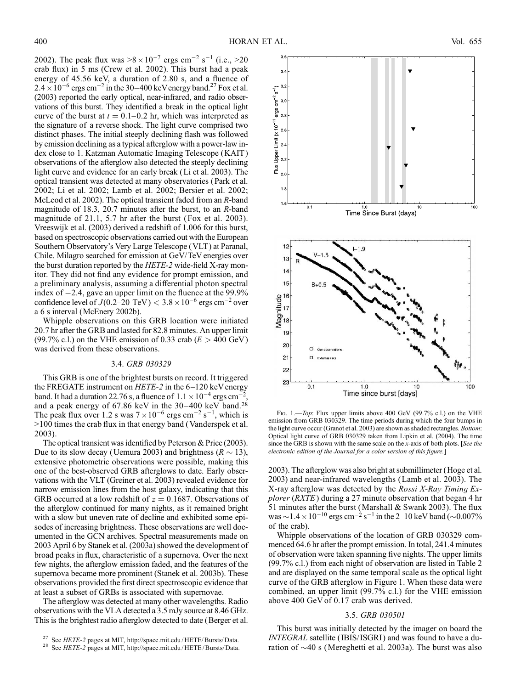2002). The peak flux was  $>8 \times 10^{-7}$  ergs cm<sup>-2</sup> s<sup>-1</sup> (i.e.,  $>20$ crab flux) in 5 ms (Crew et al. 2002). This burst had a peak energy of 45.56 keV, a duration of 2.80 s, and a fluence of  $2.4 \times 10^{-6}$  ergs cm<sup>-2</sup> in the 30-400 keV energy band.<sup>27</sup> Fox et al. (2003) reported the early optical, near-infrared, and radio observations of this burst. They identified a break in the optical light curve of the burst at  $t = 0.1{\text -}0.2$  hr, which was interpreted as the signature of a reverse shock. The light curve comprised two distinct phases. The initial steeply declining flash was followed by emission declining as a typical afterglow with a power-law index close to 1. Katzman Automatic Imaging Telescope (KAIT ) observations of the afterglow also detected the steeply declining light curve and evidence for an early break (Li et al. 2003). The optical transient was detected at many observatories (Park et al. 2002; Li et al. 2002; Lamb et al. 2002; Bersier et al. 2002; McLeod et al. 2002). The optical transient faded from an R-band magnitude of 18.3, 20.7 minutes after the burst, to an R-band magnitude of 21.1, 5.7 hr after the burst (Fox et al. 2003). Vreeswijk et al. (2003) derived a redshift of 1.006 for this burst, based on spectroscopic observations carried out with the European Southern Observatory's Very Large Telescope (VLT) at Paranal, Chile. Milagro searched for emission at GeV/TeV energies over the burst duration reported by the *HETE-2* wide-field X-ray monitor. They did not find any evidence for prompt emission, and a preliminary analysis, assuming a differential photon spectral index of  $-2.4$ , gave an upper limit on the fluence at the 99.9% confidence level of  $J(0.2-20 \text{ TeV}) < 3.8 \times 10^{-6} \text{ ergs cm}^{-2}$  over a 6 s interval (McEnery 2002b).

Whipple observations on this GRB location were initiated 20.7 hr after the GRB and lasted for 82.8 minutes. An upper limit (99.7% c.l.) on the VHE emission of 0.33 crab ( $E > 400$  GeV) was derived from these observations.

## 3.4. GRB 030329

This GRB is one of the brightest bursts on record. It triggered the FREGATE instrument on  $HETE-2$  in the 6-120 keV energy band. It had a duration 22.76 s, a fluence of  $1.1 \times 10^{-4}$  ergs cm<sup>-2</sup>, and a peak energy of  $67.86 \text{ keV}$  in the  $30-400 \text{ keV}$  band.<sup>28</sup> The peak flux over 1.2 s was  $7 \times 10^{-6}$  ergs cm<sup>-2</sup> s<sup>-1</sup>, which is >100 times the crab flux in that energy band (Vanderspek et al. 2003).

The optical transient was identified by Peterson & Price (2003). Due to its slow decay (Uemura 2003) and brightness ( $R \sim 13$ ), extensive photometric observations were possible, making this one of the best-observed GRB afterglows to date. Early observations with the VLT (Greiner et al. 2003) revealed evidence for narrow emission lines from the host galaxy, indicating that this GRB occurred at a low redshift of  $z = 0.1687$ . Observations of the afterglow continued for many nights, as it remained bright with a slow but uneven rate of decline and exhibited some episodes of increasing brightness. These observations are well documented in the GCN archives. Spectral measurements made on 2003 April 6 by Stanek et al. (2003a) showed the development of broad peaks in flux, characteristic of a supernova. Over the next few nights, the afterglow emission faded, and the features of the supernova became more prominent (Stanek et al. 2003b). These observations provided the first direct spectroscopic evidence that at least a subset of GRBs is associated with supernovae.

The afterglow was detected at many other wavelengths. Radio observations with the VLA detected a 3.5 mJy source at 8.46 GHz. This is the brightest radio afterglow detected to date (Berger et al.



FIG. 1.—Top: Flux upper limits above 400 GeV (99.7% c.l.) on the VHE emission from GRB 030329. The time periods during which the four bumps in the light curve occur (Granot et al. 2003) are shown as shaded rectangles. Bottom: Optical light curve of GRB 030329 taken from Lipkin et al. (2004). The time since the GRB is shown with the same scale on the x-axis of both plots. [See the electronic edition of the Journal for a color version of this figure.]

2003). The afterglow was also bright at submillimeter (Hoge et al. 2003) and near-infrared wavelengths (Lamb et al. 2003). The X-ray afterglow was detected by the Rossi X-Ray Timing Explorer (RXTE) during a 27 minute observation that began 4 hr 51 minutes after the burst (Marshall & Swank 2003). The flux was  $\sim$  1.4  $\times$  10<sup>-10</sup> ergs cm<sup>-2</sup> s<sup>-1</sup> in the 2-10 keV band ( $\sim$ 0.007% of the crab).

Whipple observations of the location of GRB 030329 commenced 64.6 hr after the prompt emission. In total, 241.4 minutes of observation were taken spanning five nights. The upper limits (99.7% c.l.) from each night of observation are listed in Table 2 and are displayed on the same temporal scale as the optical light curve of the GRB afterglow in Figure 1. When these data were combined, an upper limit (99.7% c.l.) for the VHE emission above 400 GeV of 0.17 crab was derived.

#### 3.5. GRB 030501

This burst was initially detected by the imager on board the INTEGRAL satellite (IBIS/ISGRI) and was found to have a duration of  $\sim$ 40 s (Mereghetti et al. 2003a). The burst was also

<sup>&</sup>lt;sup>27</sup> See *HETE-2* pages at MIT, http://space.mit.edu/HETE/Bursts/Data.<br><sup>28</sup> See *HETE-2* pages at MIT, http://space.mit.edu/HETE/Bursts/Data.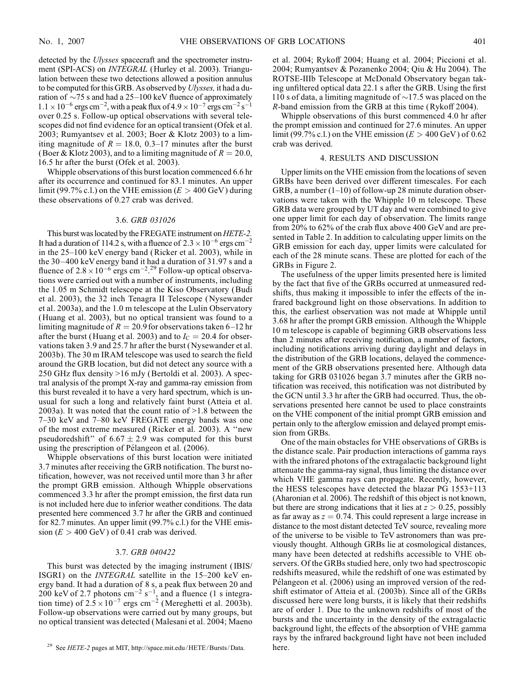detected by the *Ulysses* spacecraft and the spectrometer instrument (SPI-ACS) on *INTEGRAL* (Hurley et al. 2003). Triangulation between these two detections allowed a position annulus to be computed for this GRB. As observed by Ulysses, it had a duration of  $\sim$ 75 s and had a 25–100 keV fluence of approximately  $1.1 \times 10^{-6}$  ergs cm<sup>-2</sup>, with a peak flux of  $4.9 \times 10^{-7}$  ergs cm<sup>-2</sup> s<sup>-1</sup> over 0.25 s. Follow-up optical observations with several telescopes did not find evidence for an optical transient (Ofek et al. 2003; Rumyantsev et al. 2003; Boer & Klotz 2003) to a limiting magnitude of  $R = 18.0, 0.3-17$  minutes after the burst (Boer & Klotz 2003), and to a limiting magnitude of  $R = 20.0$ , 16.5 hr after the burst (Ofek et al. 2003).

Whipple observations of this burst location commenced 6.6 hr after its occurrence and continued for 83.1 minutes. An upper limit (99.7% c.l.) on the VHE emission ( $E > 400$  GeV) during these observations of 0.27 crab was derived.

#### 3.6. GRB 031026

This burst was located by the FREGATE instrument on *HETE-2*. It had a duration of 114.2 s, with a fluence of  $2.3 \times 10^{-6}$  ergs cm<sup>-2</sup> in the  $25-100$  keV energy band (Ricker et al. 2003), while in the 30-400 keV energy band it had a duration of  $31.97$  s and a fluence of  $2.8 \times 10^{-6}$  ergs cm<sup>-2</sup>.<sup>29</sup> Follow-up optical observations were carried out with a number of instruments, including the 1.05 m Schmidt telescope at the Kiso Observatory (Budi et al. 2003), the 32 inch Tenagra II Telescope (Nysewander et al. 2003a), and the 1.0 m telescope at the Lulin Observatory (Huang et al. 2003), but no optical transient was found to a limiting magnitude of  $R = 20.9$  for observations taken 6-12 hr after the burst (Huang et al. 2003) and to  $I<sub>C</sub> = 20.4$  for observations taken 3.9 and 25.7 hr after the burst (Nysewander et al. 2003b). The 30 m IRAM telescope was used to search the field around the GRB location, but did not detect any source with a 250 GHz flux density >16 mJy (Bertoldi et al. 2003). A spectral analysis of the prompt X-ray and gamma-ray emission from this burst revealed it to have a very hard spectrum, which is unusual for such a long and relatively faint burst (Atteia et al. 2003a). It was noted that the count ratio of >1.8 between the 7-30 keV and 7-80 keV FREGATE energy bands was one of the most extreme measured (Ricker et al. 2003). A ''new pseudoredshift" of  $6.67 \pm 2.9$  was computed for this burst using the prescription of Pélangeon et al. (2006).

Whipple observations of this burst location were initiated 3.7 minutes after receiving the GRB notification. The burst notification, however, was not received until more than 3 hr after the prompt GRB emission. Although Whipple observations commenced 3.3 hr after the prompt emission, the first data run is not included here due to inferior weather conditions. The data presented here commenced 3.7 hr after the GRB and continued for 82.7 minutes. An upper limit (99.7% c.l.) for the VHE emission  $(E > 400 \text{ GeV})$  of 0.41 crab was derived.

#### 3.7. GRB 040422

This burst was detected by the imaging instrument ( IBIS/ ISGRI) on the *INTEGRAL* satellite in the 15-200 keV energy band. It had a duration of 8 s, a peak flux between 20 and 200 keV of 2.7 photons cm<sup>-2</sup> s<sup>-1</sup>, and a fluence (1 s integration time) of  $2.\overline{5} \times 10^{-7}$  ergs cm<sup>-2</sup> (Mereghetti et al. 2003b). Follow-up observations were carried out by many groups, but no optical transient was detected (Malesani et al. 2004; Maeno et al. 2004; Rykoff 2004; Huang et al. 2004; Piccioni et al. 2004; Rumyantsev & Pozanenko 2004; Qiu & Hu 2004). The ROTSE-IIIb Telescope at McDonald Observatory began taking unfiltered optical data 22.1 s after the GRB. Using the first 110 s of data, a limiting magnitude of  $\sim$ 17.5 was placed on the R-band emission from the GRB at this time (Rykoff 2004).

Whipple observations of this burst commenced 4.0 hr after the prompt emission and continued for 27.6 minutes. An upper limit (99.7% c.l.) on the VHE emission ( $E > 400$  GeV) of 0.62 crab was derived.

#### 4. RESULTS AND DISCUSSION

Upper limits on the VHE emission from the locations of seven GRBs have been derived over different timescales. For each GRB, a number  $(1-10)$  of follow-up 28 minute duration observations were taken with the Whipple 10 m telescope. These GRB data were grouped by UT day and were combined to give one upper limit for each day of observation. The limits range from 20% to 62% of the crab flux above 400 GeV and are presented in Table 2. In addition to calculating upper limits on the GRB emission for each day, upper limits were calculated for each of the 28 minute scans. These are plotted for each of the GRBs in Figure 2.

The usefulness of the upper limits presented here is limited by the fact that five of the GRBs occurred at unmeasured redshifts, thus making it impossible to infer the effects of the infrared background light on those observations. In addition to this, the earliest observation was not made at Whipple until 3.68 hr after the prompt GRB emission. Although the Whipple 10 m telescope is capable of beginning GRB observations less than 2 minutes after receiving notification, a number of factors, including notifications arriving during daylight and delays in the distribution of the GRB locations, delayed the commencement of the GRB observations presented here. Although data taking for GRB 031026 began 3.7 minutes after the GRB notification was received, this notification was not distributed by the GCN until 3.3 hr after the GRB had occurred. Thus, the observations presented here cannot be used to place constraints on the VHE component of the initial prompt GRB emission and pertain only to the afterglow emission and delayed prompt emission from GRBs.

One of the main obstacles for VHE observations of GRBs is the distance scale. Pair production interactions of gamma rays with the infrared photons of the extragalactic background light attenuate the gamma-ray signal, thus limiting the distance over which VHE gamma rays can propagate. Recently, however, the HESS telescopes have detected the blazar PG 1553+113 (Aharonian et al. 2006). The redshift of this object is not known, but there are strong indications that it lies at  $z > 0.25$ , possibly as far away as  $z = 0.74$ . This could represent a large increase in distance to the most distant detected TeV source, revealing more of the universe to be visible to TeV astronomers than was previously thought. Although GRBs lie at cosmological distances, many have been detected at redshifts accessible to VHE observers. Of the GRBs studied here, only two had spectroscopic redshifts measured, while the redshift of one was estimated by Pélangeon et al. (2006) using an improved version of the redshift estimator of Atteia et al. (2003b). Since all of the GRBs discussed here were long bursts, it is likely that their redshifts are of order 1. Due to the unknown redshifts of most of the bursts and the uncertainty in the density of the extragalactic background light, the effects of the absorption of VHE gamma rays by the infrared background light have not been included

<sup>&</sup>lt;sup>29</sup> See HETE-2 pages at MIT, http://space.mit.edu/HETE/Bursts/Data. here.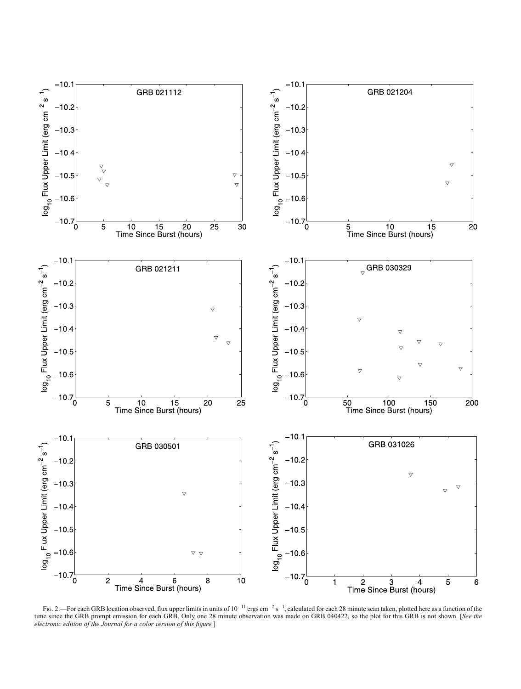

FIG. 2.—For each GRB location observed, flux upper limits in units of  $10^{-11}$  ergs cm<sup>-2</sup> s<sup>-1</sup>, calculated for each 28 minute scan taken, plotted here as a function of the time since the GRB prompt emission for each GRB. Only one 28 minute observation was made on GRB 040422, so the plot for this GRB is not shown. [See the electronic edition of the Journal for a color version of this figure.]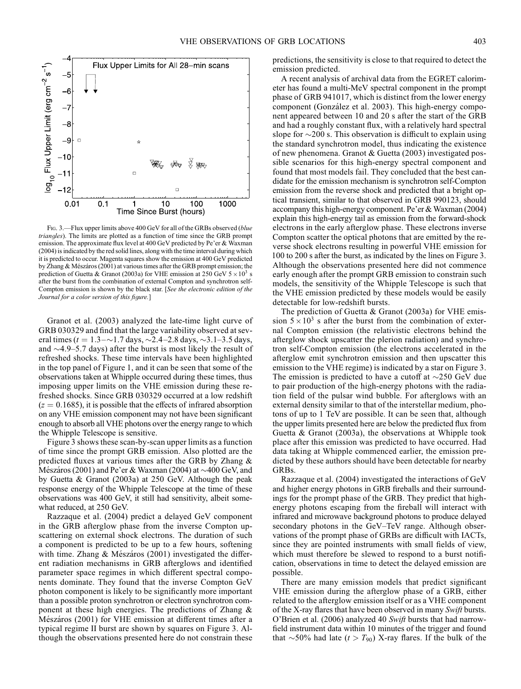

FIG. 3.—Flux upper limits above 400 GeV for all of the GRBs observed (blue triangles). The limits are plotted as a function of time since the GRB prompt emission. The approximate flux level at 400 GeV predicted by Pe'er & Waxman (2004) is indicated by the red solid lines, along with the time interval during which it is predicted to occur. Magenta squares show the emission at 400 GeV predicted by Zhang & Mészáros (2001) at various times after the GRB prompt emission; the prediction of Guetta & Granot (2003a) for VHE emission at 250 GeV  $5 \times 10^3$  s after the burst from the combination of external Compton and synchrotron self-Compton emission is shown by the black star. [See the electronic edition of the Journal for a color version of this figure.]

Granot et al. (2003) analyzed the late-time light curve of GRB 030329 and find that the large variability observed at several times ( $t = 1.3 - 1.7$  days,  $\sim 2.4 - 2.8$  days,  $\sim 3.1 - 3.5$  days, and  $\sim$ 4.9–5.7 days) after the burst is most likely the result of refreshed shocks. These time intervals have been highlighted in the top panel of Figure 1, and it can be seen that some of the observations taken at Whipple occurred during these times, thus imposing upper limits on the VHE emission during these refreshed shocks. Since GRB 030329 occurred at a low redshift  $(z = 0.1685)$ , it is possible that the effects of infrared absorption on any VHE emission component may not have been significant enough to absorb all VHE photons over the energy range to which the Whipple Telescope is sensitive.

Figure 3 shows these scan-by-scan upper limits as a function of time since the prompt GRB emission. Also plotted are the predicted fluxes at various times after the GRB by Zhang & Mészáros (2001) and Pe'er & Waxman (2004) at  $\sim$ 400 GeV, and by Guetta & Granot (2003a) at 250 GeV. Although the peak response energy of the Whipple Telescope at the time of these observations was 400 GeV, it still had sensitivity, albeit somewhat reduced, at 250 GeV.

Razzaque et al. (2004) predict a delayed GeV component in the GRB afterglow phase from the inverse Compton upscattering on external shock electrons. The duration of such a component is predicted to be up to a few hours, softening with time. Zhang  $&$  Mészáros (2001) investigated the different radiation mechanisms in GRB afterglows and identified parameter space regimes in which different spectral components dominate. They found that the inverse Compton GeV photon component is likely to be significantly more important than a possible proton synchrotron or electron synchrotron component at these high energies. The predictions of Zhang & Mészáros (2001) for VHE emission at different times after a typical regime II burst are shown by squares on Figure 3. Although the observations presented here do not constrain these predictions, the sensitivity is close to that required to detect the emission predicted.

A recent analysis of archival data from the EGRET calorimeter has found a multi-MeV spectral component in the prompt phase of GRB 941017, which is distinct from the lower energy component (González et al. 2003). This high-energy component appeared between 10 and 20 s after the start of the GRB and had a roughly constant flux, with a relatively hard spectral slope for  $\sim$ 200 s. This observation is difficult to explain using the standard synchrotron model, thus indicating the existence of new phenomena. Granot & Guetta (2003) investigated possible scenarios for this high-energy spectral component and found that most models fail. They concluded that the best candidate for the emission mechanism is synchrotron self-Compton emission from the reverse shock and predicted that a bright optical transient, similar to that observed in GRB 990123, should accompany this high-energy component. Pe'er & Waxman (2004) explain this high-energy tail as emission from the forward-shock electrons in the early afterglow phase. These electrons inverse Compton scatter the optical photons that are emitted by the reverse shock electrons resulting in powerful VHE emission for 100 to 200 s after the burst, as indicated by the lines on Figure 3. Although the observations presented here did not commence early enough after the prompt GRB emission to constrain such models, the sensitivity of the Whipple Telescope is such that the VHE emission predicted by these models would be easily detectable for low-redshift bursts.

The prediction of Guetta & Granot (2003a) for VHE emission  $5 \times 10^3$  s after the burst from the combination of external Compton emission (the relativistic electrons behind the afterglow shock upscatter the plerion radiation) and synchrotron self-Compton emission (the electrons accelerated in the afterglow emit synchrotron emission and then upscatter this emission to the VHE regime) is indicated by a star on Figure 3. The emission is predicted to have a cutoff at  $\sim$ 250 GeV due to pair production of the high-energy photons with the radiation field of the pulsar wind bubble. For afterglows with an external density similar to that of the interstellar medium, photons of up to 1 TeV are possible. It can be seen that, although the upper limits presented here are below the predicted flux from Guetta & Granot (2003a), the observations at Whipple took place after this emission was predicted to have occurred. Had data taking at Whipple commenced earlier, the emission predicted by these authors should have been detectable for nearby GRBs.

Razzaque et al. (2004) investigated the interactions of GeV and higher energy photons in GRB fireballs and their surroundings for the prompt phase of the GRB. They predict that highenergy photons escaping from the fireball will interact with infrared and microwave background photons to produce delayed secondary photons in the GeV-TeV range. Although observations of the prompt phase of GRBs are difficult with IACTs, since they are pointed instruments with small fields of view, which must therefore be slewed to respond to a burst notification, observations in time to detect the delayed emission are possible.

There are many emission models that predict significant VHE emission during the afterglow phase of a GRB, either related to the afterglow emission itself or as a VHE component of the X-ray flares that have been observed in many Swift bursts. O'Brien et al. (2006) analyzed 40 Swift bursts that had narrowfield instrument data within 10 minutes of the trigger and found that  $\sim$ 50% had late (t > T<sub>90</sub>) X-ray flares. If the bulk of the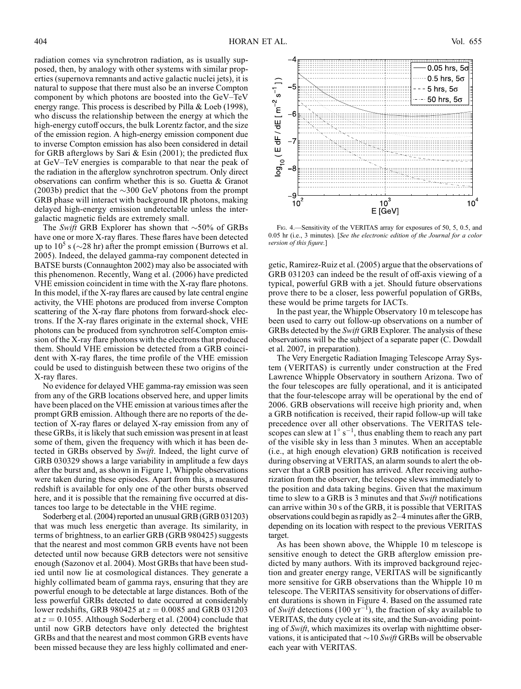radiation comes via synchrotron radiation, as is usually supposed, then, by analogy with other systems with similar properties (supernova remnants and active galactic nuclei jets), it is natural to suppose that there must also be an inverse Compton component by which photons are boosted into the GeV–TeV energy range. This process is described by Pilla & Loeb (1998), who discuss the relationship between the energy at which the high-energy cutoff occurs, the bulk Lorentz factor, and the size of the emission region. A high-energy emission component due to inverse Compton emission has also been considered in detail for GRB afterglows by Sari & Esin (2001); the predicted flux at GeV–TeV energies is comparable to that near the peak of the radiation in the afterglow synchrotron spectrum. Only direct observations can confirm whether this is so. Guetta & Granot (2003b) predict that the  $\sim$ 300 GeV photons from the prompt GRB phase will interact with background IR photons, making delayed high-energy emission undetectable unless the intergalactic magnetic fields are extremely small.

The Swift GRB Explorer has shown that  $\sim$ 50% of GRBs have one or more X-ray flares. These flares have been detected up to  $10<sup>5</sup>$  s ( $\sim$ 28 hr) after the prompt emission (Burrows et al. 2005). Indeed, the delayed gamma-ray component detected in BATSE bursts (Connaughton 2002) may also be associated with this phenomenon. Recently, Wang et al. (2006) have predicted VHE emission coincident in time with the X-ray flare photons. In this model, if the X-ray flares are caused by late central engine activity, the VHE photons are produced from inverse Compton scattering of the X-ray flare photons from forward-shock electrons. If the X-ray flares originate in the external shock, VHE photons can be produced from synchrotron self-Compton emission of the X-ray flare photons with the electrons that produced them. Should VHE emission be detected from a GRB coincident with X-ray flares, the time profile of the VHE emission could be used to distinguish between these two origins of the X-ray flares.

No evidence for delayed VHE gamma-ray emission was seen from any of the GRB locations observed here, and upper limits have been placed on the VHE emission at various times after the prompt GRB emission. Although there are no reports of the detection of X-ray flares or delayed X-ray emission from any of these GRBs, it is likely that such emission was present in at least some of them, given the frequency with which it has been detected in GRBs observed by Swift. Indeed, the light curve of GRB 030329 shows a large variability in amplitude a few days after the burst and, as shown in Figure 1, Whipple observations were taken during these episodes. Apart from this, a measured redshift is available for only one of the other bursts observed here, and it is possible that the remaining five occurred at distances too large to be detectable in the VHE regime.

Soderberg et al. (2004) reported an unusual GRB (GRB 031203) that was much less energetic than average. Its similarity, in terms of brightness, to an earlier GRB (GRB 980425) suggests that the nearest and most common GRB events have not been detected until now because GRB detectors were not sensitive enough (Sazonov et al. 2004). Most GRBs that have been studied until now lie at cosmological distances. They generate a highly collimated beam of gamma rays, ensuring that they are powerful enough to be detectable at large distances. Both of the less powerful GRBs detected to date occurred at considerably lower redshifts, GRB 980425 at  $z = 0.0085$  and GRB 031203 at  $z = 0.1055$ . Although Soderberg et al. (2004) conclude that until now GRB detectors have only detected the brightest GRBs and that the nearest and most common GRB events have been missed because they are less highly collimated and ener-



Fig. 4.—Sensitivity of the VERITAS array for exposures of 50, 5, 0.5, and 0.05 hr (i.e., 3 minutes). [See the electronic edition of the Journal for a color version of this figure.]

getic, Ramirez-Ruiz et al. (2005) argue that the observations of GRB 031203 can indeed be the result of off-axis viewing of a typical, powerful GRB with a jet. Should future observations prove there to be a closer, less powerful population of GRBs, these would be prime targets for IACTs.

In the past year, the Whipple Observatory 10 m telescope has been used to carry out follow-up observations on a number of GRBs detected by the Swift GRB Explorer. The analysis of these observations will be the subject of a separate paper (C. Dowdall et al. 2007, in preparation).

The Very Energetic Radiation Imaging Telescope Array System (VERITAS) is currently under construction at the Fred Lawrence Whipple Observatory in southern Arizona. Two of the four telescopes are fully operational, and it is anticipated that the four-telescope array will be operational by the end of 2006. GRB observations will receive high priority and, when a GRB notification is received, their rapid follow-up will take precedence over all other observations. The VERITAS telescopes can slew at  $1^\circ s^{-1}$ , thus enabling them to reach any part of the visible sky in less than 3 minutes. When an acceptable (i.e., at high enough elevation) GRB notification is received during observing at VERITAS, an alarm sounds to alert the observer that a GRB position has arrived. After receiving authorization from the observer, the telescope slews immediately to the position and data taking begins. Given that the maximum time to slew to a GRB is 3 minutes and that Swift notifications can arrive within 30 s of the GRB, it is possible that VERITAS observations could begin as rapidly as  $2-4$  minutes after the GRB, depending on its location with respect to the previous VERITAS target.

As has been shown above, the Whipple 10 m telescope is sensitive enough to detect the GRB afterglow emission predicted by many authors. With its improved background rejection and greater energy range, VERITAS will be significantly more sensitive for GRB observations than the Whipple 10 m telescope. The VERITAS sensitivity for observations of different durations is shown in Figure 4. Based on the assumed rate of Swift detections (100 yr<sup>-1</sup>), the fraction of sky available to VERITAS, the duty cycle at its site, and the Sun-avoiding pointing of Swift, which maximizes its overlap with nighttime observations, it is anticipated that  $\sim$  10 Swift GRBs will be observable each year with VERITAS.